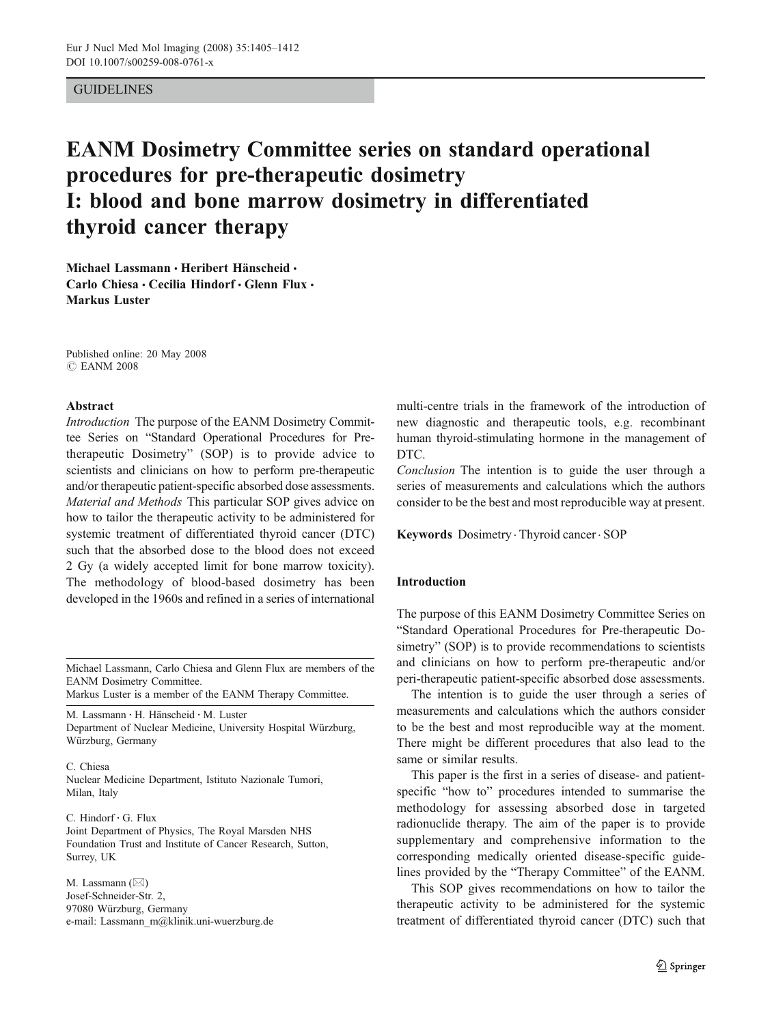# **GUIDELINES**

# EANM Dosimetry Committee series on standard operational procedures for pre-therapeutic dosimetry I: blood and bone marrow dosimetry in differentiated thyroid cancer therapy

Michael Lassmann · Heribert Hänscheid · Carlo Chiesa · Cecilia Hindorf · Glenn Flux · Markus Luster

Published online: 20 May 2008 *#* EANM 2008

## Abstract

Introduction The purpose of the EANM Dosimetry Committee Series on "Standard Operational Procedures for Pretherapeutic Dosimetry" (SOP) is to provide advice to scientists and clinicians on how to perform pre-therapeutic and/or therapeutic patient-specific absorbed dose assessments. Material and Methods This particular SOP gives advice on how to tailor the therapeutic activity to be administered for systemic treatment of differentiated thyroid cancer (DTC) such that the absorbed dose to the blood does not exceed 2 Gy (a widely accepted limit for bone marrow toxicity). The methodology of blood-based dosimetry has been developed in the 1960s and refined in a series of international

Michael Lassmann, Carlo Chiesa and Glenn Flux are members of the EANM Dosimetry Committee. Markus Luster is a member of the EANM Therapy Committee.

M. Lassmann : H. Hänscheid : M. Luster Department of Nuclear Medicine, University Hospital Würzburg, Würzburg, Germany

C. Chiesa Nuclear Medicine Department, Istituto Nazionale Tumori, Milan, Italy

C. Hindorf · G. Flux Joint Department of Physics, The Royal Marsden NHS Foundation Trust and Institute of Cancer Research, Sutton, Surrey, UK

M. Lassmann ( $\boxtimes$ ) Josef-Schneider-Str. 2, 97080 Würzburg, Germany e-mail: Lassmann\_m@klinik.uni-wuerzburg.de multi-centre trials in the framework of the introduction of new diagnostic and therapeutic tools, e.g. recombinant human thyroid-stimulating hormone in the management of DTC.

Conclusion The intention is to guide the user through a series of measurements and calculations which the authors consider to be the best and most reproducible way at present.

Keywords Dosimetry . Thyroid cancer . SOP

# Introduction

The purpose of this EANM Dosimetry Committee Series on "Standard Operational Procedures for Pre-therapeutic Dosimetry" (SOP) is to provide recommendations to scientists and clinicians on how to perform pre-therapeutic and/or peri-therapeutic patient-specific absorbed dose assessments.

The intention is to guide the user through a series of measurements and calculations which the authors consider to be the best and most reproducible way at the moment. There might be different procedures that also lead to the same or similar results.

This paper is the first in a series of disease- and patientspecific "how to" procedures intended to summarise the methodology for assessing absorbed dose in targeted radionuclide therapy. The aim of the paper is to provide supplementary and comprehensive information to the corresponding medically oriented disease-specific guidelines provided by the "Therapy Committee" of the EANM.

This SOP gives recommendations on how to tailor the therapeutic activity to be administered for the systemic treatment of differentiated thyroid cancer (DTC) such that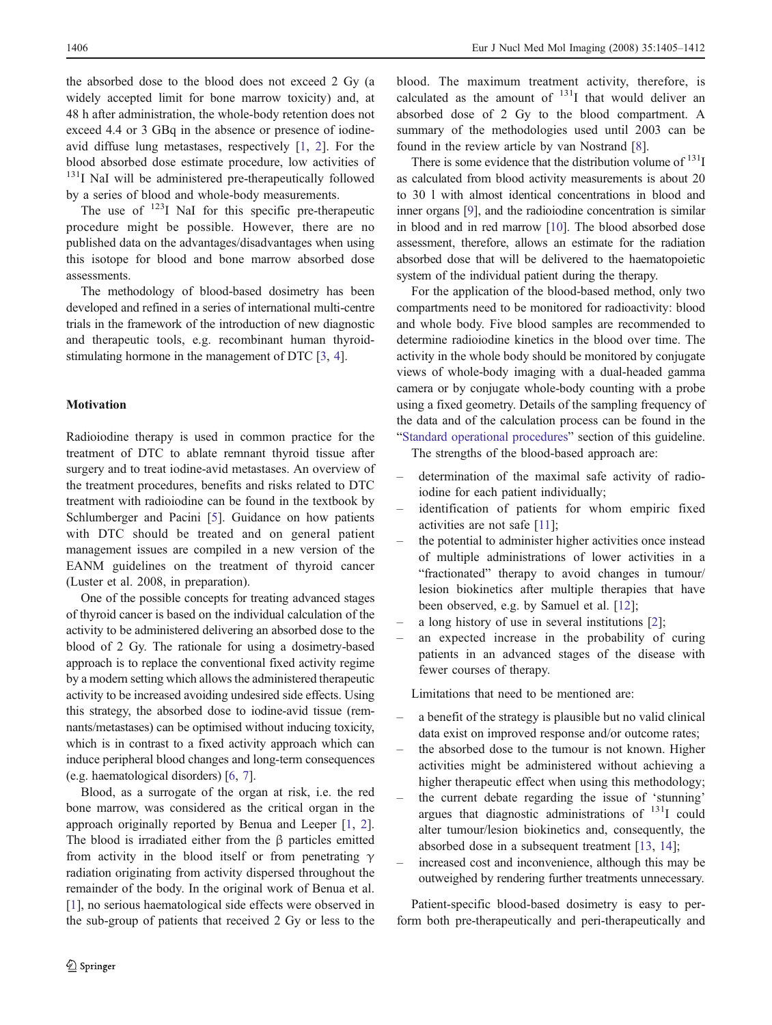the absorbed dose to the blood does not exceed 2 Gy (a widely accepted limit for bone marrow toxicity) and, at 48 h after administration, the whole-body retention does not exceed 4.4 or 3 GBq in the absence or presence of iodineavid diffuse lung metastases, respectively [\[1](#page-6-0), [2](#page-6-0)]. For the blood absorbed dose estimate procedure, low activities of <sup>131</sup>I NaI will be administered pre-therapeutically followed by a series of blood and whole-body measurements.

The use of  $123$ I NaI for this specific pre-therapeutic procedure might be possible. However, there are no published data on the advantages/disadvantages when using this isotope for blood and bone marrow absorbed dose assessments.

The methodology of blood-based dosimetry has been developed and refined in a series of international multi-centre trials in the framework of the introduction of new diagnostic and therapeutic tools, e.g. recombinant human thyroidstimulating hormone in the management of DTC [\[3](#page-6-0), [4\]](#page-6-0).

# **Motivation**

Radioiodine therapy is used in common practice for the treatment of DTC to ablate remnant thyroid tissue after surgery and to treat iodine-avid metastases. An overview of the treatment procedures, benefits and risks related to DTC treatment with radioiodine can be found in the textbook by Schlumberger and Pacini [\[5](#page-6-0)]. Guidance on how patients with DTC should be treated and on general patient management issues are compiled in a new version of the EANM guidelines on the treatment of thyroid cancer (Luster et al. 2008, in preparation).

One of the possible concepts for treating advanced stages of thyroid cancer is based on the individual calculation of the activity to be administered delivering an absorbed dose to the blood of 2 Gy. The rationale for using a dosimetry-based approach is to replace the conventional fixed activity regime by a modern setting which allows the administered therapeutic activity to be increased avoiding undesired side effects. Using this strategy, the absorbed dose to iodine-avid tissue (remnants/metastases) can be optimised without inducing toxicity, which is in contrast to a fixed activity approach which can induce peripheral blood changes and long-term consequences (e.g. haematological disorders) [[6,](#page-6-0) [7](#page-6-0)].

Blood, as a surrogate of the organ at risk, i.e. the red bone marrow, was considered as the critical organ in the approach originally reported by Benua and Leeper [[1,](#page-6-0) [2](#page-6-0)]. The blood is irradiated either from the β particles emitted from activity in the blood itself or from penetrating  $\gamma$ radiation originating from activity dispersed throughout the remainder of the body. In the original work of Benua et al. [\[1](#page-6-0)], no serious haematological side effects were observed in the sub-group of patients that received 2 Gy or less to the blood. The maximum treatment activity, therefore, is calculated as the amount of  $131$ I that would deliver an absorbed dose of 2 Gy to the blood compartment. A summary of the methodologies used until 2003 can be found in the review article by van Nostrand [[8](#page-7-0)].

There is some evidence that the distribution volume of  $^{131}I$ as calculated from blood activity measurements is about 20 to 30 l with almost identical concentrations in blood and inner organs [[9\]](#page-7-0), and the radioiodine concentration is similar in blood and in red marrow [[10](#page-7-0)]. The blood absorbed dose assessment, therefore, allows an estimate for the radiation absorbed dose that will be delivered to the haematopoietic system of the individual patient during the therapy.

For the application of the blood-based method, only two compartments need to be monitored for radioactivity: blood and whole body. Five blood samples are recommended to determine radioiodine kinetics in the blood over time. The activity in the whole body should be monitored by conjugate views of whole-body imaging with a dual-headed gamma camera or by conjugate whole-body counting with a probe using a fixed geometry. Details of the sampling frequency of the data and of the calculation process can be found in the "[Standard operational procedures](#page-2-0)" section of this guideline.

The strengths of the blood-based approach are:

- determination of the maximal safe activity of radioiodine for each patient individually;
- identification of patients for whom empiric fixed activities are not safe [[11](#page-7-0)];
- the potential to administer higher activities once instead of multiple administrations of lower activities in a "fractionated" therapy to avoid changes in tumour/ lesion biokinetics after multiple therapies that have been observed, e.g. by Samuel et al. [[12\]](#page-7-0);
- a long history of use in several institutions  $[2]$  $[2]$ ;
- an expected increase in the probability of curing patients in an advanced stages of the disease with fewer courses of therapy.

Limitations that need to be mentioned are:

- a benefit of the strategy is plausible but no valid clinical data exist on improved response and/or outcome rates;
- the absorbed dose to the tumour is not known. Higher activities might be administered without achieving a higher therapeutic effect when using this methodology;
- the current debate regarding the issue of 'stunning' argues that diagnostic administrations of 131I could alter tumour/lesion biokinetics and, consequently, the absorbed dose in a subsequent treatment [\[13](#page-7-0), [14](#page-7-0)];
- increased cost and inconvenience, although this may be outweighed by rendering further treatments unnecessary.

Patient-specific blood-based dosimetry is easy to perform both pre-therapeutically and peri-therapeutically and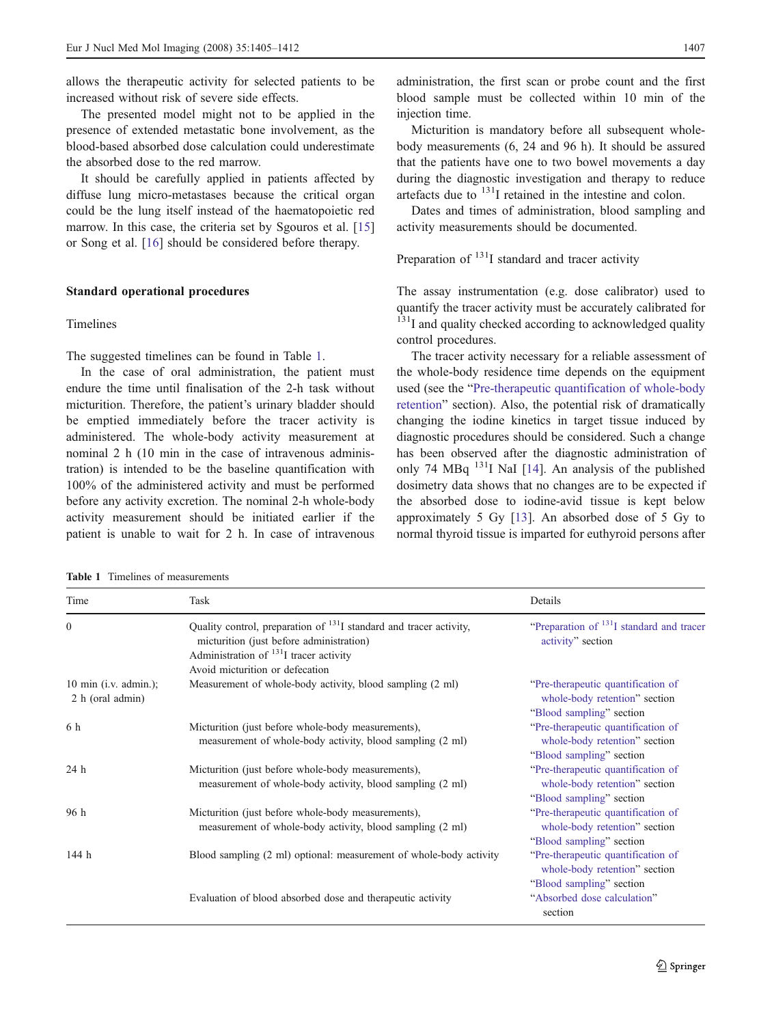<span id="page-2-0"></span>allows the therapeutic activity for selected patients to be increased without risk of severe side effects.

The presented model might not to be applied in the presence of extended metastatic bone involvement, as the blood-based absorbed dose calculation could underestimate the absorbed dose to the red marrow.

It should be carefully applied in patients affected by diffuse lung micro-metastases because the critical organ could be the lung itself instead of the haematopoietic red marrow. In this case, the criteria set by Sgouros et al. [[15\]](#page-7-0) or Song et al. [[16\]](#page-7-0) should be considered before therapy.

# Standard operational procedures

# Timelines

The suggested timelines can be found in Table 1.

In the case of oral administration, the patient must endure the time until finalisation of the 2-h task without micturition. Therefore, the patient's urinary bladder should be emptied immediately before the tracer activity is administered. The whole-body activity measurement at nominal 2 h (10 min in the case of intravenous administration) is intended to be the baseline quantification with 100% of the administered activity and must be performed before any activity excretion. The nominal 2-h whole-body activity measurement should be initiated earlier if the patient is unable to wait for 2 h. In case of intravenous

Table 1 Timelines of measurements

administration, the first scan or probe count and the first blood sample must be collected within 10 min of the injection time.

Micturition is mandatory before all subsequent wholebody measurements (6, 24 and 96 h). It should be assured that the patients have one to two bowel movements a day during the diagnostic investigation and therapy to reduce artefacts due to  $131$  retained in the intestine and colon.

Dates and times of administration, blood sampling and activity measurements should be documented.

Preparation of  $131$ I standard and tracer activity

The assay instrumentation (e.g. dose calibrator) used to quantify the tracer activity must be accurately calibrated for <sup>131</sup>I and quality checked according to acknowledged quality control procedures.

The tracer activity necessary for a reliable assessment of the whole-body residence time depends on the equipment used (see the "[Pre-therapeutic quantification of whole-body](#page-3-0) [retention](#page-3-0)" section). Also, the potential risk of dramatically changing the iodine kinetics in target tissue induced by diagnostic procedures should be considered. Such a change has been observed after the diagnostic administration of only 74 MBq  $^{131}$ I NaI [\[14](#page-7-0)]. An analysis of the published dosimetry data shows that no changes are to be expected if the absorbed dose to iodine-avid tissue is kept below approximately 5 Gy [\[13](#page-7-0)]. An absorbed dose of 5 Gy to normal thyroid tissue is imparted for euthyroid persons after

| Time                                                | Task                                                                                                                                                                                                          | Details                                                                                         |
|-----------------------------------------------------|---------------------------------------------------------------------------------------------------------------------------------------------------------------------------------------------------------------|-------------------------------------------------------------------------------------------------|
| $\mathbf{0}$                                        | Quality control, preparation of <sup>131</sup> I standard and tracer activity,<br>micturition (just before administration)<br>Administration of $^{131}$ I tracer activity<br>Avoid micturition or defecation | "Preparation of <sup>131</sup> I standard and tracer<br>activity" section                       |
| $10 \text{ min}$ (i.v. admin.);<br>2 h (oral admin) | Measurement of whole-body activity, blood sampling (2 ml)                                                                                                                                                     | "Pre-therapeutic quantification of<br>whole-body retention" section<br>"Blood sampling" section |
| 6 h                                                 | Micturition (just before whole-body measurements),<br>measurement of whole-body activity, blood sampling (2 ml)                                                                                               | "Pre-therapeutic quantification of<br>whole-body retention" section<br>"Blood sampling" section |
| 24 h                                                | Micturition (just before whole-body measurements),<br>measurement of whole-body activity, blood sampling (2 ml)                                                                                               | "Pre-therapeutic quantification of<br>whole-body retention" section<br>"Blood sampling" section |
| 96 h                                                | Micturition (just before whole-body measurements),<br>measurement of whole-body activity, blood sampling (2 ml)                                                                                               | "Pre-therapeutic quantification of<br>whole-body retention" section<br>"Blood sampling" section |
| 144h                                                | Blood sampling (2 ml) optional: measurement of whole-body activity                                                                                                                                            | "Pre-therapeutic quantification of<br>whole-body retention" section<br>"Blood sampling" section |
|                                                     | Evaluation of blood absorbed dose and therapeutic activity                                                                                                                                                    | "Absorbed dose calculation"<br>section                                                          |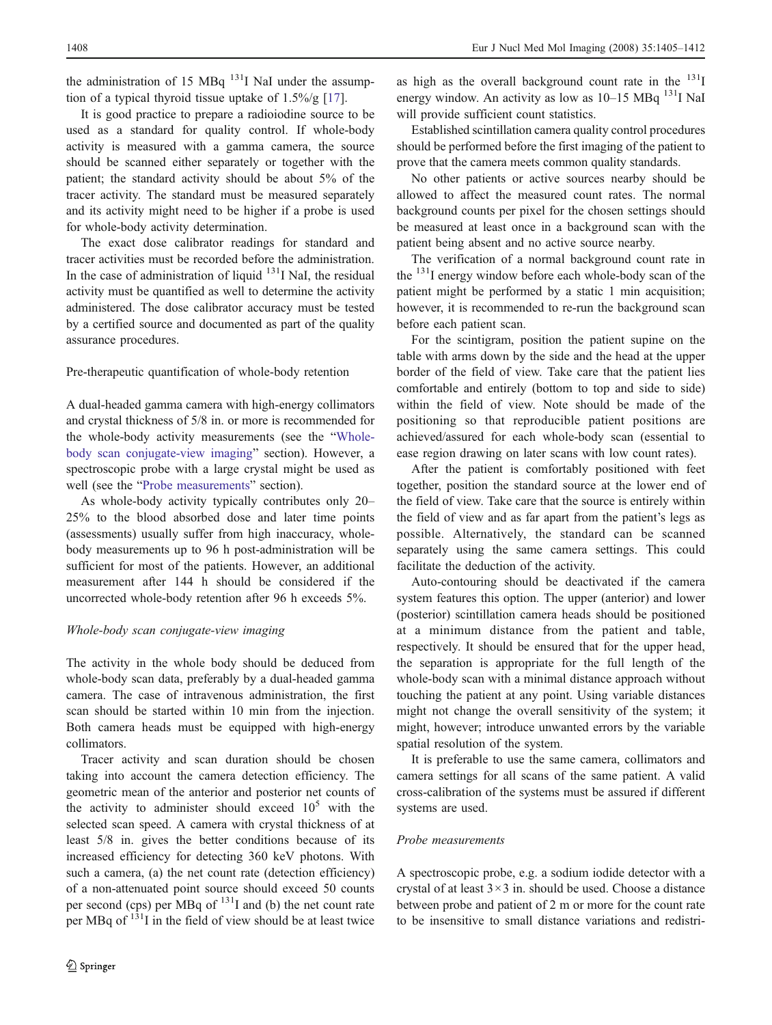<span id="page-3-0"></span>the administration of 15 MB $q^{131}$ I NaI under the assumption of a typical thyroid tissue uptake of  $1.5\%$ /g [[17\]](#page-7-0).

It is good practice to prepare a radioiodine source to be used as a standard for quality control. If whole-body activity is measured with a gamma camera, the source should be scanned either separately or together with the patient; the standard activity should be about 5% of the tracer activity. The standard must be measured separately and its activity might need to be higher if a probe is used for whole-body activity determination.

The exact dose calibrator readings for standard and tracer activities must be recorded before the administration. In the case of administration of liquid  $131$  NaI, the residual activity must be quantified as well to determine the activity administered. The dose calibrator accuracy must be tested by a certified source and documented as part of the quality assurance procedures.

Pre-therapeutic quantification of whole-body retention

A dual-headed gamma camera with high-energy collimators and crystal thickness of 5/8 in. or more is recommended for the whole-body activity measurements (see the "Wholebody scan conjugate-view imaging" section). However, a spectroscopic probe with a large crystal might be used as well (see the "Probe measurements" section).

As whole-body activity typically contributes only 20– 25% to the blood absorbed dose and later time points (assessments) usually suffer from high inaccuracy, wholebody measurements up to 96 h post-administration will be sufficient for most of the patients. However, an additional measurement after 144 h should be considered if the uncorrected whole-body retention after 96 h exceeds 5%.

### Whole-body scan conjugate-view imaging

The activity in the whole body should be deduced from whole-body scan data, preferably by a dual-headed gamma camera. The case of intravenous administration, the first scan should be started within 10 min from the injection. Both camera heads must be equipped with high-energy collimators.

Tracer activity and scan duration should be chosen taking into account the camera detection efficiency. The geometric mean of the anterior and posterior net counts of the activity to administer should exceed  $10^5$  with the selected scan speed. A camera with crystal thickness of at least 5/8 in. gives the better conditions because of its increased efficiency for detecting 360 keV photons. With such a camera, (a) the net count rate (detection efficiency) of a non-attenuated point source should exceed 50 counts per second (cps) per MBq of  $^{131}$ I and (b) the net count rate per MBq of  $^{131}$ I in the field of view should be at least twice

as high as the overall background count rate in the  $^{131}I$ energy window. An activity as low as  $10-15$  MBq <sup>131</sup>I NaI will provide sufficient count statistics.

Established scintillation camera quality control procedures should be performed before the first imaging of the patient to prove that the camera meets common quality standards.

No other patients or active sources nearby should be allowed to affect the measured count rates. The normal background counts per pixel for the chosen settings should be measured at least once in a background scan with the patient being absent and no active source nearby.

The verification of a normal background count rate in the <sup>131</sup>I energy window before each whole-body scan of the patient might be performed by a static 1 min acquisition; however, it is recommended to re-run the background scan before each patient scan.

For the scintigram, position the patient supine on the table with arms down by the side and the head at the upper border of the field of view. Take care that the patient lies comfortable and entirely (bottom to top and side to side) within the field of view. Note should be made of the positioning so that reproducible patient positions are achieved/assured for each whole-body scan (essential to ease region drawing on later scans with low count rates).

After the patient is comfortably positioned with feet together, position the standard source at the lower end of the field of view. Take care that the source is entirely within the field of view and as far apart from the patient's legs as possible. Alternatively, the standard can be scanned separately using the same camera settings. This could facilitate the deduction of the activity.

Auto-contouring should be deactivated if the camera system features this option. The upper (anterior) and lower (posterior) scintillation camera heads should be positioned at a minimum distance from the patient and table, respectively. It should be ensured that for the upper head, the separation is appropriate for the full length of the whole-body scan with a minimal distance approach without touching the patient at any point. Using variable distances might not change the overall sensitivity of the system; it might, however; introduce unwanted errors by the variable spatial resolution of the system.

It is preferable to use the same camera, collimators and camera settings for all scans of the same patient. A valid cross-calibration of the systems must be assured if different systems are used.

# Probe measurements

A spectroscopic probe, e.g. a sodium iodide detector with a crystal of at least  $3 \times 3$  in. should be used. Choose a distance between probe and patient of 2 m or more for the count rate to be insensitive to small distance variations and redistri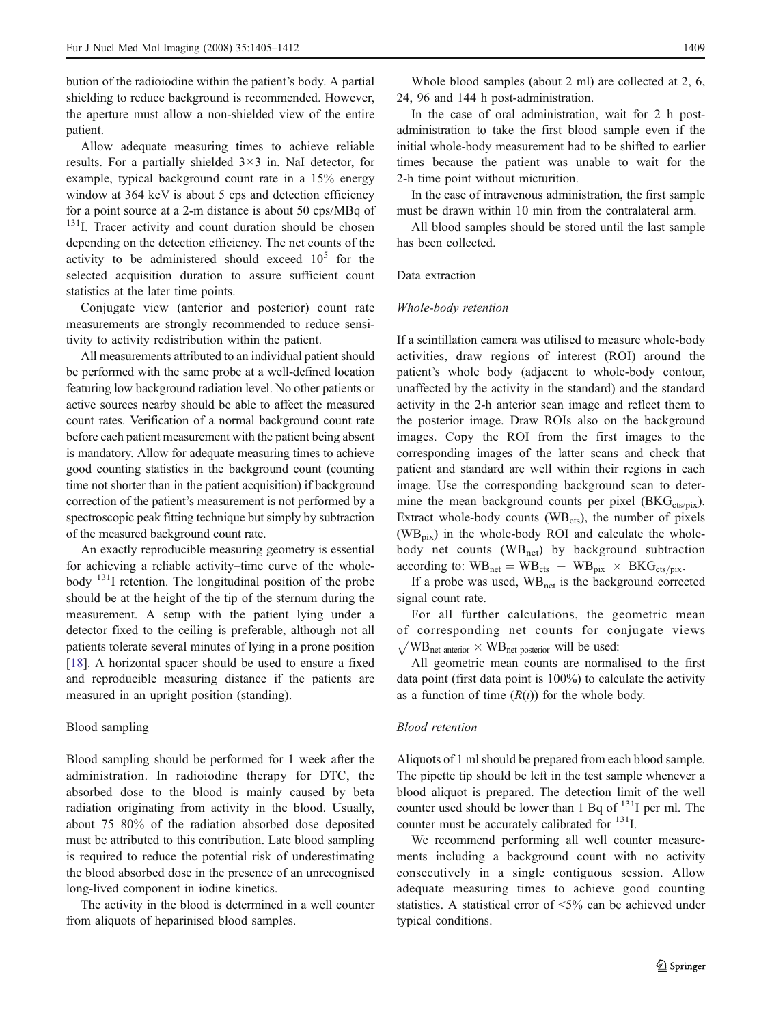<span id="page-4-0"></span>bution of the radioiodine within the patient's body. A partial shielding to reduce background is recommended. However, the aperture must allow a non-shielded view of the entire patient.

Allow adequate measuring times to achieve reliable results. For a partially shielded  $3\times3$  in. NaI detector, for example, typical background count rate in a 15% energy window at 364 keV is about 5 cps and detection efficiency for a point source at a 2-m distance is about 50 cps/MBq of <sup>131</sup>I. Tracer activity and count duration should be chosen depending on the detection efficiency. The net counts of the activity to be administered should exceed  $10<sup>5</sup>$  for the selected acquisition duration to assure sufficient count statistics at the later time points.

Conjugate view (anterior and posterior) count rate measurements are strongly recommended to reduce sensitivity to activity redistribution within the patient.

All measurements attributed to an individual patient should be performed with the same probe at a well-defined location featuring low background radiation level. No other patients or active sources nearby should be able to affect the measured count rates. Verification of a normal background count rate before each patient measurement with the patient being absent is mandatory. Allow for adequate measuring times to achieve good counting statistics in the background count (counting time not shorter than in the patient acquisition) if background correction of the patient's measurement is not performed by a spectroscopic peak fitting technique but simply by subtraction of the measured background count rate.

An exactly reproducible measuring geometry is essential for achieving a reliable activity–time curve of the wholebody <sup>131</sup>I retention. The longitudinal position of the probe should be at the height of the tip of the sternum during the measurement. A setup with the patient lying under a detector fixed to the ceiling is preferable, although not all patients tolerate several minutes of lying in a prone position [\[18](#page-7-0)]. A horizontal spacer should be used to ensure a fixed and reproducible measuring distance if the patients are measured in an upright position (standing).

# Blood sampling

Blood sampling should be performed for 1 week after the administration. In radioiodine therapy for DTC, the absorbed dose to the blood is mainly caused by beta radiation originating from activity in the blood. Usually, about 75–80% of the radiation absorbed dose deposited must be attributed to this contribution. Late blood sampling is required to reduce the potential risk of underestimating the blood absorbed dose in the presence of an unrecognised long-lived component in iodine kinetics.

The activity in the blood is determined in a well counter from aliquots of heparinised blood samples.

Whole blood samples (about 2 ml) are collected at 2, 6, 24, 96 and 144 h post-administration.

In the case of oral administration, wait for 2 h postadministration to take the first blood sample even if the initial whole-body measurement had to be shifted to earlier times because the patient was unable to wait for the 2-h time point without micturition.

In the case of intravenous administration, the first sample must be drawn within 10 min from the contralateral arm.

All blood samples should be stored until the last sample has been collected.

### Data extraction

### Whole-body retention

If a scintillation camera was utilised to measure whole-body activities, draw regions of interest (ROI) around the patient's whole body (adjacent to whole-body contour, unaffected by the activity in the standard) and the standard activity in the 2-h anterior scan image and reflect them to the posterior image. Draw ROIs also on the background images. Copy the ROI from the first images to the corresponding images of the latter scans and check that patient and standard are well within their regions in each image. Use the corresponding background scan to determine the mean background counts per pixel  $(BKG_{cts/pix}).$ Extract whole-body counts ( $W_{\text{Cts}}$ ), the number of pixels  $(WB_{pix})$  in the whole-body ROI and calculate the wholebody net counts (WB<sub>net</sub>) by background subtraction according to:  $WB_{net} = WB_{cts} - WB_{pix} \times BKG_{cts/pix}$ .

If a probe was used,  $WB_{net}$  is the background corrected signal count rate.

For all further calculations, the geometric mean of corresponding net counts for conjugate views  $\sqrt{WB_{net}}$  anterior  $\times WB_{net}$  posterior will be used:

All geometric mean counts are normalised to the first data point (first data point is 100%) to calculate the activity as a function of time  $(R(t))$  for the whole body.

# Blood retention

Aliquots of 1 ml should be prepared from each blood sample. The pipette tip should be left in the test sample whenever a blood aliquot is prepared. The detection limit of the well counter used should be lower than 1 Bq of  $^{131}$ I per ml. The counter must be accurately calibrated for <sup>131</sup>I.

We recommend performing all well counter measurements including a background count with no activity consecutively in a single contiguous session. Allow adequate measuring times to achieve good counting statistics. A statistical error of <5% can be achieved under typical conditions.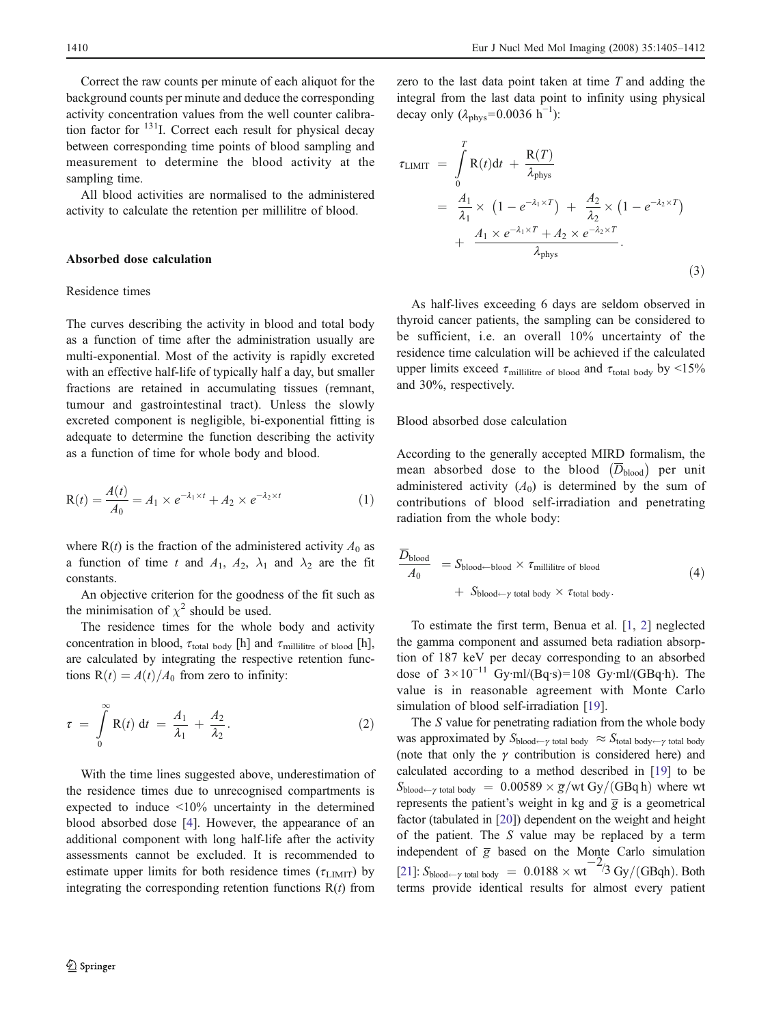<span id="page-5-0"></span>Correct the raw counts per minute of each aliquot for the background counts per minute and deduce the corresponding activity concentration values from the well counter calibration factor for  $131$ . Correct each result for physical decay between corresponding time points of blood sampling and measurement to determine the blood activity at the sampling time.

All blood activities are normalised to the administered activity to calculate the retention per millilitre of blood.

## Absorbed dose calculation

# Residence times

The curves describing the activity in blood and total body as a function of time after the administration usually are multi-exponential. Most of the activity is rapidly excreted with an effective half-life of typically half a day, but smaller fractions are retained in accumulating tissues (remnant, tumour and gastrointestinal tract). Unless the slowly excreted component is negligible, bi-exponential fitting is adequate to determine the function describing the activity as a function of time for whole body and blood.

$$
R(t) = \frac{A(t)}{A_0} = A_1 \times e^{-\lambda_1 \times t} + A_2 \times e^{-\lambda_2 \times t}
$$
 (1)

where  $R(t)$  is the fraction of the administered activity  $A_0$  as a function of time t and  $A_1$ ,  $A_2$ ,  $\lambda_1$  and  $\lambda_2$  are the fit constants.

An objective criterion for the goodness of the fit such as the minimisation of  $\chi^2$  should be used.

The residence times for the whole body and activity concentration in blood,  $\tau_{total\ body}$  [h] and  $\tau_{millilitre\ of\ blood}$  [h], are calculated by integrating the respective retention functions  $R(t) = A(t)/A_0$  from zero to infinity:

$$
\tau = \int\limits_0^\infty \mathbf{R}(t) \, \mathrm{d}t = \frac{A_1}{\lambda_1} + \frac{A_2}{\lambda_2}.
$$
 (2)

With the time lines suggested above, underestimation of the residence times due to unrecognised compartments is expected to induce <10% uncertainty in the determined blood absorbed dose [[4\]](#page-6-0). However, the appearance of an additional component with long half-life after the activity assessments cannot be excluded. It is recommended to estimate upper limits for both residence times  $(\tau_{\text{LIMIT}})$  by integrating the corresponding retention functions  $R(t)$  from

zero to the last data point taken at time  $T$  and adding the integral from the last data point to infinity using physical decay only  $(\lambda_{\text{phys}}=0.0036 \text{ h}^{-1})$ :

$$
\tau_{\text{LIMIT}} = \int_{0}^{T} \mathbf{R}(t) dt + \frac{\mathbf{R}(T)}{\lambda_{\text{phys}}}
$$
\n
$$
= \frac{A_1}{\lambda_1} \times \left(1 - e^{-\lambda_1 \times T}\right) + \frac{A_2}{\lambda_2} \times \left(1 - e^{-\lambda_2 \times T}\right)
$$
\n
$$
+ \frac{A_1 \times e^{-\lambda_1 \times T} + A_2 \times e^{-\lambda_2 \times T}}{\lambda_{\text{phys}}}.
$$
\n(3)

As half-lives exceeding 6 days are seldom observed in thyroid cancer patients, the sampling can be considered to be sufficient, i.e. an overall 10% uncertainty of the residence time calculation will be achieved if the calculated upper limits exceed  $\tau_{\text{millilitre of blood}}$  and  $\tau_{\text{total body}}$  by <15% and 30%, respectively.

Blood absorbed dose calculation

According to the generally accepted MIRD formalism, the mean absorbed dose to the blood  $(\overline{D}_{\text{blood}})$  per unit administered activity  $(A_0)$  is determined by the sum of contributions of blood self-irradiation and penetrating radiation from the whole body:

$$
\frac{\overline{D}_{\text{blood}}}{A_0} = S_{\text{blood}-\text{blood}} \times \tau_{\text{millilitre of blood}} \tag{4}
$$
\n
$$
+ S_{\text{blood}\leftarrow\gamma \text{ total body}} \times \tau_{\text{total body}}.
$$

To estimate the first term, Benua et al. [\[1](#page-6-0), [2\]](#page-6-0) neglected the gamma component and assumed beta radiation absorption of 187 keV per decay corresponding to an absorbed dose of  $3 \times 10^{-11}$  Gy·ml/(Bq·s)=108 Gy·ml/(GBq·h). The value is in reasonable agreement with Monte Carlo simulation of blood self-irradiation [\[19](#page-7-0)].

The S value for penetrating radiation from the whole body was approximated by  $S_{\text{blood}\leftarrow \gamma \text{ total body}} \approx S_{\text{total body}\leftarrow \gamma \text{ total body}}$ (note that only the  $\gamma$  contribution is considered here) and calculated according to a method described in [\[19\]](#page-7-0) to be  $S_{\text{blood}\leftarrow\gamma}$  total body = 0.00589  $\times \frac{1}{g}$  wt Gy/(GBq h) where wt represents the patient's weight in kg and  $\overline{g}$  is a geometrical factor (tabulated in [[20](#page-7-0)]) dependent on the weight and height of the patient. The  $S$  value may be replaced by a term independent of  $\overline{g}$  based on the Monte Carlo simulation [\[21](#page-7-0)]:  $S_{\text{blood}\leftarrow\gamma \text{ total body}} = 0.0188 \times \text{wt}^{-2}/3 \text{ Gy/(GBqh)}$ . Both terms provide identical results for almost every patient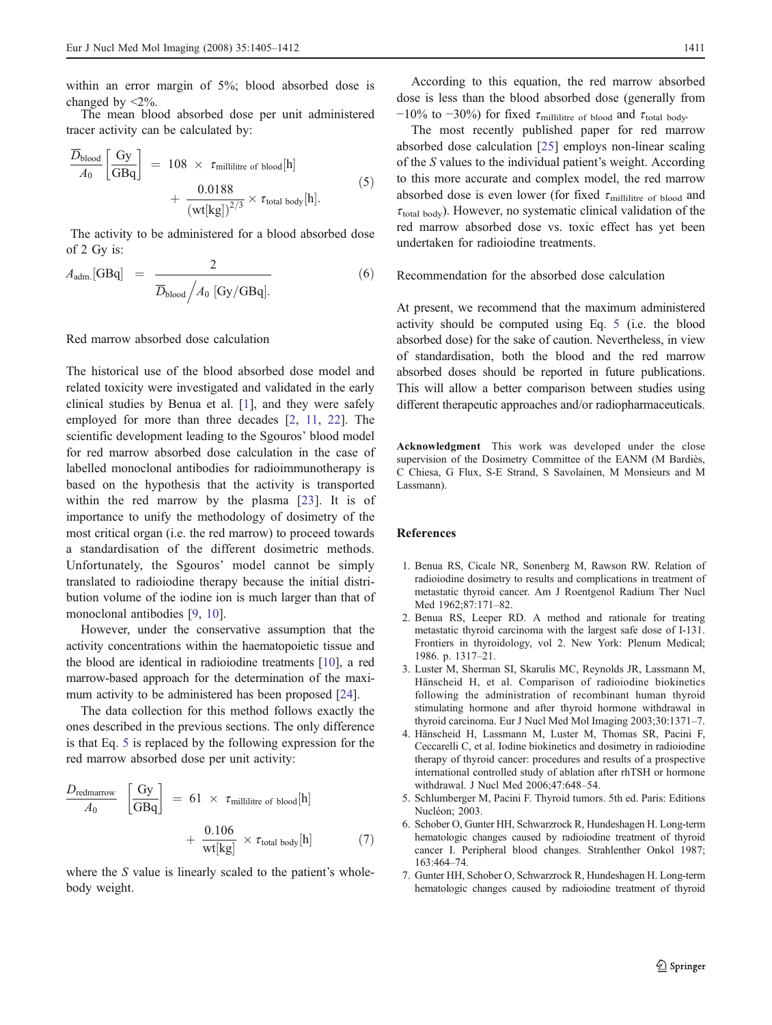<span id="page-6-0"></span>within an error margin of 5%; blood absorbed dose is changed by  $\langle 2\% \rangle$ .

The mean blood absorbed dose per unit administered tracer activity can be calculated by:

$$
\frac{\overline{D}_{\text{blood}}}{A_0} \left[ \frac{\text{Gy}}{\text{GBq}} \right] = 108 \times \tau_{\text{millilitre of blood}}[\text{h}] + \frac{0.0188}{\left(\text{wt}[\text{kg}]\right)^{2/3}} \times \tau_{\text{total body}}[\text{h}]. \tag{5}
$$

The activity to be administered for a blood absorbed dose of 2 Gy is:

$$
A_{\text{adm.}}[\text{GBq}] = \frac{2}{\overline{D}_{\text{blood}}/A_0 \text{ [Gy/GBq]}}.
$$
 (6)

Red marrow absorbed dose calculation

The historical use of the blood absorbed dose model and related toxicity were investigated and validated in the early clinical studies by Benua et al. [1], and they were safely employed for more than three decades [2, [11](#page-7-0), [22\]](#page-7-0). The scientific development leading to the Sgouros' blood model for red marrow absorbed dose calculation in the case of labelled monoclonal antibodies for radioimmunotherapy is based on the hypothesis that the activity is transported within the red marrow by the plasma [[23\]](#page-7-0). It is of importance to unify the methodology of dosimetry of the most critical organ (i.e. the red marrow) to proceed towards a standardisation of the different dosimetric methods. Unfortunately, the Sgouros' model cannot be simply translated to radioiodine therapy because the initial distribution volume of the iodine ion is much larger than that of monoclonal antibodies [\[9](#page-7-0), [10](#page-7-0)].

However, under the conservative assumption that the activity concentrations within the haematopoietic tissue and the blood are identical in radioiodine treatments [[10\]](#page-7-0), a red marrow-based approach for the determination of the maximum activity to be administered has been proposed [\[24](#page-7-0)].

The data collection for this method follows exactly the ones described in the previous sections. The only difference is that Eq. 5 is replaced by the following expression for the red marrow absorbed dose per unit activity:

$$
\frac{D_{\text{redmarrow}}}{A_0} \left[ \frac{Gy}{GBq} \right] = 61 \times \tau_{\text{millilitre of blood}}[h] + \frac{0.106}{\text{wt}[\text{kg}]} \times \tau_{\text{total body}}[h] \tag{7}
$$

where the S value is linearly scaled to the patient's wholebody weight.

According to this equation, the red marrow absorbed dose is less than the blood absorbed dose (generally from  $-10\%$  to  $-30\%$ ) for fixed  $\tau_{\text{millilitre of blood}}$  and  $\tau_{\text{total body}}$ .

The most recently published paper for red marrow absorbed dose calculation [[25\]](#page-7-0) employs non-linear scaling of the S values to the individual patient's weight. According to this more accurate and complex model, the red marrow absorbed dose is even lower (for fixed  $\tau$ <sub>millilitre of blood</sub> and  $\tau_{\text{total body}}$ ). However, no systematic clinical validation of the red marrow absorbed dose vs. toxic effect has yet been undertaken for radioiodine treatments.

## Recommendation for the absorbed dose calculation

At present, we recommend that the maximum administered activity should be computed using Eq. 5 (i.e. the blood absorbed dose) for the sake of caution. Nevertheless, in view of standardisation, both the blood and the red marrow absorbed doses should be reported in future publications. This will allow a better comparison between studies using different therapeutic approaches and/or radiopharmaceuticals.

Acknowledgment This work was developed under the close supervision of the Dosimetry Committee of the EANM (M Bardiès, C Chiesa, G Flux, S-E Strand, S Savolainen, M Monsieurs and M Lassmann).

### References

- 1. Benua RS, Cicale NR, Sonenberg M, Rawson RW. Relation of radioiodine dosimetry to results and complications in treatment of metastatic thyroid cancer. Am J Roentgenol Radium Ther Nucl Med 1962;87:171–82.
- 2. Benua RS, Leeper RD. A method and rationale for treating metastatic thyroid carcinoma with the largest safe dose of I-131. Frontiers in thyroidology, vol 2. New York: Plenum Medical; 1986. p. 1317–21.
- 3. Luster M, Sherman SI, Skarulis MC, Reynolds JR, Lassmann M, Hänscheid H, et al. Comparison of radioiodine biokinetics following the administration of recombinant human thyroid stimulating hormone and after thyroid hormone withdrawal in thyroid carcinoma. Eur J Nucl Med Mol Imaging 2003;30:1371–7.
- 4. Hänscheid H, Lassmann M, Luster M, Thomas SR, Pacini F, Ceccarelli C, et al. Iodine biokinetics and dosimetry in radioiodine therapy of thyroid cancer: procedures and results of a prospective international controlled study of ablation after rhTSH or hormone withdrawal. J Nucl Med 2006;47:648–54.
- 5. Schlumberger M, Pacini F. Thyroid tumors. 5th ed. Paris: Editions Nucléon; 2003.
- 6. Schober O, Gunter HH, Schwarzrock R, Hundeshagen H. Long-term hematologic changes caused by radioiodine treatment of thyroid cancer I. Peripheral blood changes. Strahlenther Onkol 1987; 163:464–74.
- 7. Gunter HH, Schober O, Schwarzrock R, Hundeshagen H. Long-term hematologic changes caused by radioiodine treatment of thyroid